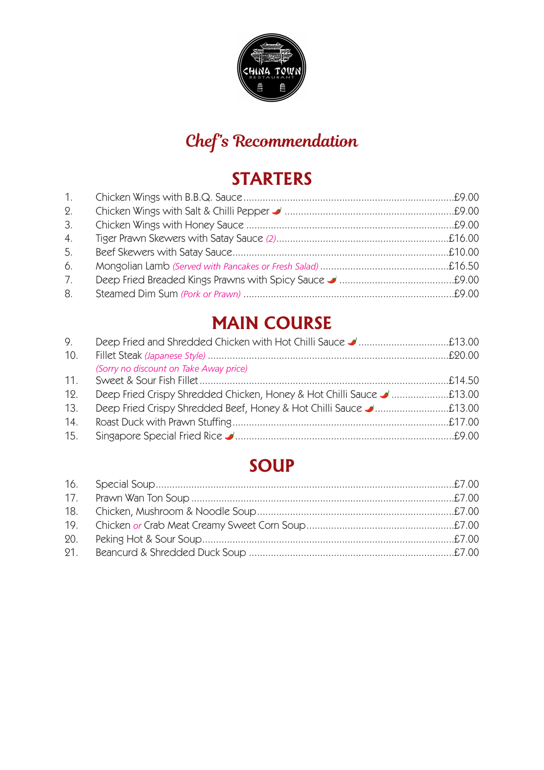

# **Chef's Recommendation**

# **STARTERS**

| 1. |  |
|----|--|
| 2. |  |
| 3. |  |
| 4. |  |
| 5. |  |
| 6. |  |
| 7. |  |
| 8. |  |

# **MAIN COURSE**

| 9.  |                                        |  |
|-----|----------------------------------------|--|
| 10. |                                        |  |
|     | (Sorry no discount on Take Away price) |  |
| 11. |                                        |  |
| 12. |                                        |  |
| 13. |                                        |  |
| 14. |                                        |  |
| 15. |                                        |  |

### **SOUP**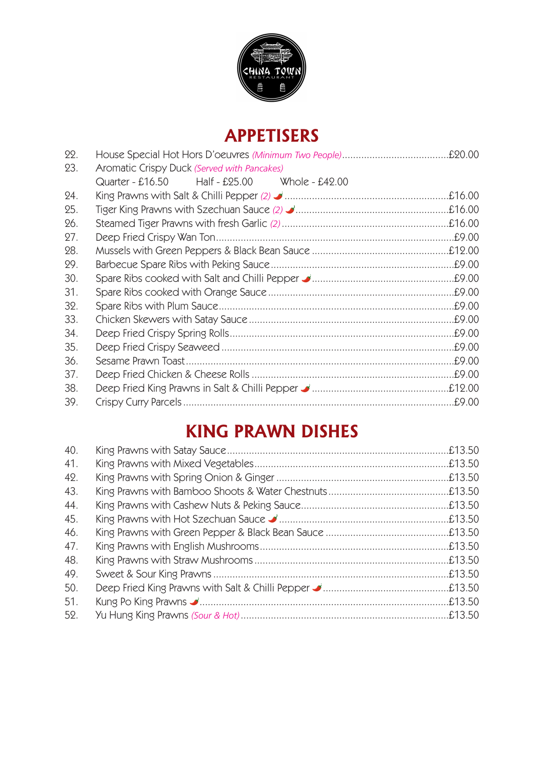

## **APPETISERS**

| 22. |                                               |        |
|-----|-----------------------------------------------|--------|
| 23. | Aromatic Crispy Duck (Served with Pancakes)   |        |
|     | Quarter - £16.50 Half - £25.00 Whole - £42.00 |        |
| 24. |                                               | £16.00 |
| 25. |                                               |        |
| 26. |                                               |        |
| 27. |                                               |        |
| 28. |                                               |        |
| 29. |                                               |        |
| 30. |                                               |        |
| 31. |                                               |        |
| 32. |                                               |        |
| 33. |                                               |        |
| 34. |                                               |        |
| 35. |                                               |        |
| 36. |                                               | .£9.00 |
| 37. |                                               | .£9.00 |
| 38. |                                               |        |
| 39. |                                               | £9.00  |

# **KING PRAWN DISHES**

| 40. |  |
|-----|--|
| 41. |  |
| 42. |  |
| 43. |  |
| 44. |  |
| 45. |  |
| 46. |  |
| 47. |  |
| 48. |  |
| 49. |  |
| 50. |  |
| 51. |  |
| 52. |  |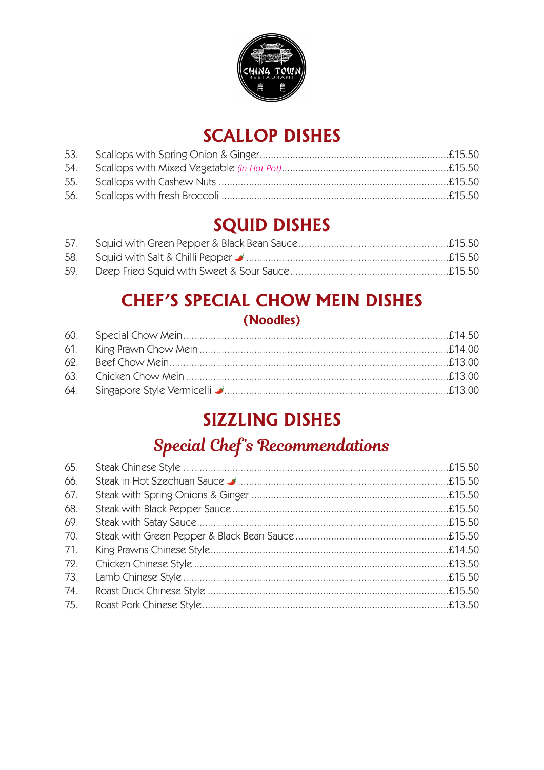

# **SCALLOP DISHES**

# **SQUID DISHES**

### **CHEF'S SPECIAL CHOW MEIN DISHES** (Noodles)

# **SIZZLING DISHES**

# **Special Chef's Recommendations**

| 65. |  |
|-----|--|
| 66. |  |
| 67. |  |
| 68. |  |
| 69. |  |
| 70. |  |
| 71. |  |
| 72. |  |
| 73. |  |
| 74. |  |
| 75. |  |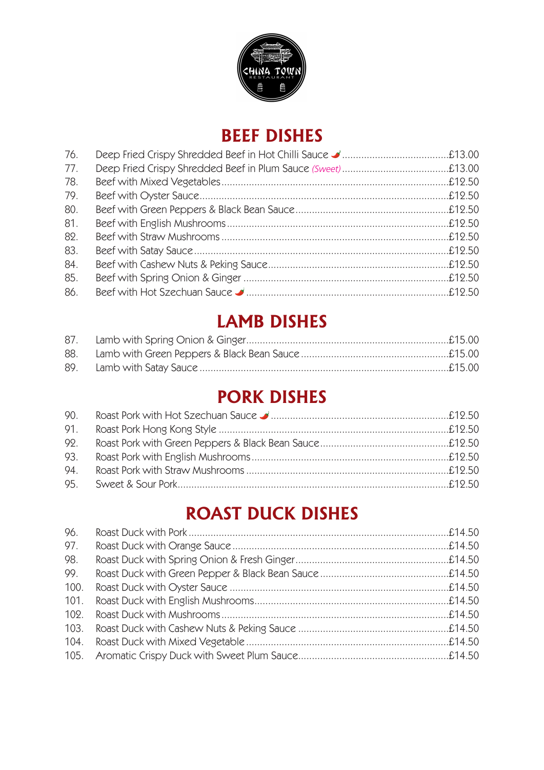

### **BEEF DISHES**

| 76. |  |
|-----|--|
| 77. |  |
| 78. |  |
| 79. |  |
| 80. |  |
| 81. |  |
| 82. |  |
| 83. |  |
| 84. |  |
| 85. |  |
| 86. |  |

### **LAMB DISHES**

| 87. |  |
|-----|--|
| 88. |  |
| 89. |  |

# **PORK DISHES**

| 90. |  |
|-----|--|
| 91. |  |
| 92. |  |
| 93. |  |
| 94. |  |
|     |  |

# **ROAST DUCK DISHES**

| 96.  |  |
|------|--|
| 97.  |  |
| 98.  |  |
| 99.  |  |
| 100. |  |
| 101. |  |
| 102. |  |
|      |  |
|      |  |
|      |  |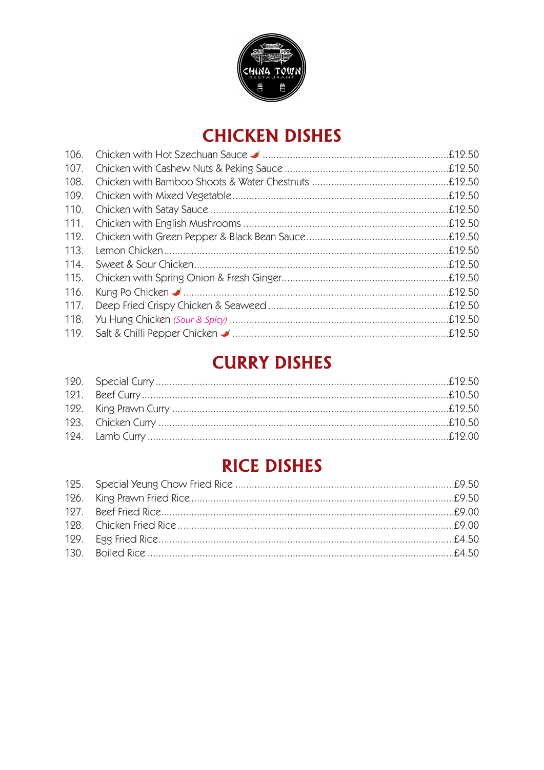

# **CHICKEN DISHES**

| 106. |  |
|------|--|
| 107. |  |
| 108. |  |
| 109. |  |
| 110. |  |
| 111. |  |
| 112. |  |
| 113. |  |
| 114. |  |
| 115. |  |
| 116. |  |
| 117. |  |
| 118. |  |
| 119. |  |

# **CURRY DISHES**

# **RICE DISHES**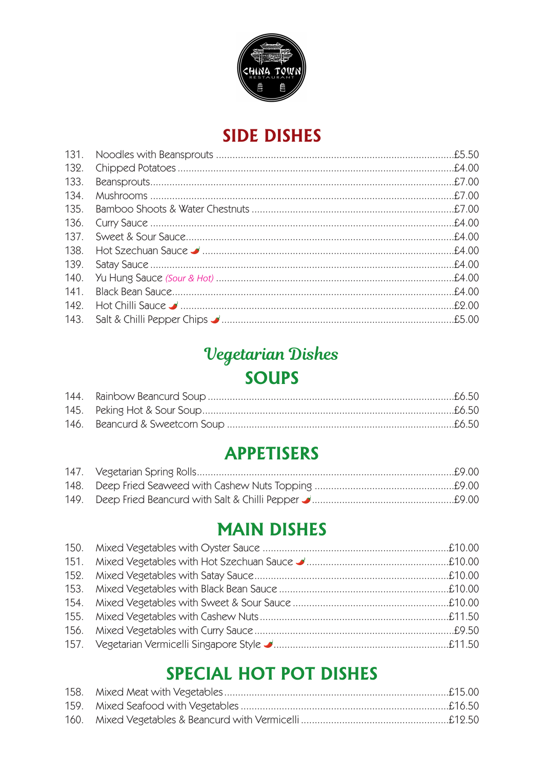

### **SIDE DISHES**

# Vegetarian Dishes **SOUPS**

# **APPETISERS**

### **MAIN DISHES**

# **SPECIAL HOT POT DISHES**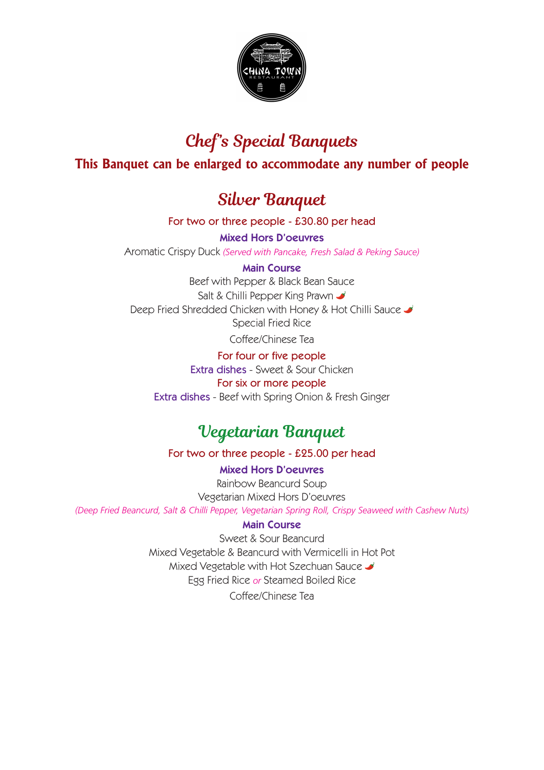

# **Chef's Special Banquets**

#### **This Banquet can be enlarged to accommodate any number of people**

### **Silver Banquet**

For two or three people - £30.80 per head

**Mixed Hors D'oeuvres**

Aromatic Crispy Duck *(Served with Pancake, Fresh Salad & Peking Sauce)*

#### **Main Course**

Beef with Pepper & Black Bean Sauce Salt & Chilli Pepper King Prawn Deep Fried Shredded Chicken with Honey & Hot Chilli Sauce Special Fried Rice

Coffee/Chinese Tea

For four or five people Extra dishes - Sweet & Sour Chicken

#### For six or more people

Extra dishes - Beef with Spring Onion & Fresh Ginger

### **Vegetarian Banquet**

For two or three people - £25.00 per head

**Mixed Hors D'oeuvres** Rainbow Beancurd Soup Vegetarian Mixed Hors D'oeuvres *(Deep Fried Beancurd, Salt & Chilli Pepper, Vegetarian Spring Roll, Crispy Seaweed with Cashew Nuts)*

#### **Main Course**

Sweet & Sour Beancurd Mixed Vegetable & Beancurd with Vermicelli in Hot Pot Mixed Vegetable with Hot Szechuan Sauce Egg Fried Rice *or* Steamed Boiled Rice

Coffee/Chinese Tea